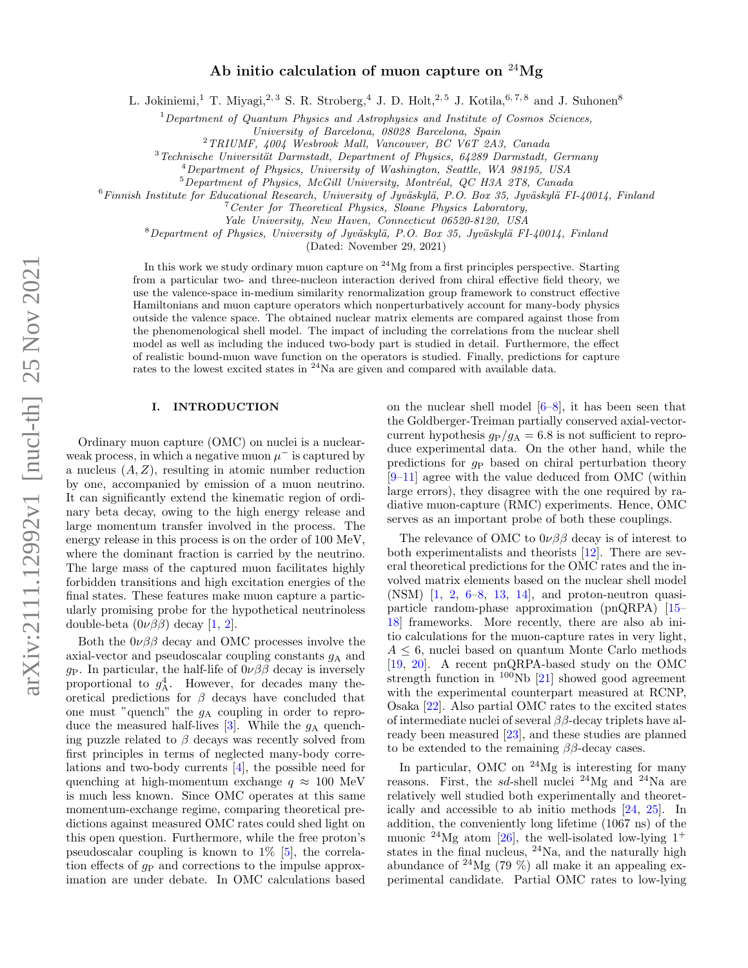# Ab initio calculation of muon capture on  $^{24}Mg$

L. Jokiniemi,<sup>1</sup> T. Miyagi,<sup>2, 3</sup> S. R. Stroberg,<sup>4</sup> J. D. Holt,<sup>2, 5</sup> J. Kotila,<sup>6,7,8</sup> and J. Suhonen<sup>8</sup>

 $1$  Department of Quantum Physics and Astrophysics and Institute of Cosmos Sciences,

University of Barcelona, 08028 Barcelona, Spain

<sup>2</sup>TRIUMF, 4004 Wesbrook Mall, Vancouver, BC V6T 2A3, Canada

 $3$ Technische Universität Darmstadt, Department of Physics, 64289 Darmstadt, Germany

<sup>4</sup>Department of Physics, University of Washington, Seattle, WA 98195, USA

 $5$ Department of Physics, McGill University, Montréal, QC H3A 2T8, Canada

 $6$ Finnish Institute for Educational Research, University of Jyväskylä, P.O. Box 35, Jyväskylä FI-40014, Finland

 $7$  Center for Theoretical Physics, Sloane Physics Laboratory,

Yale University, New Haven, Connecticut 06520-8120, USA

 $8$ Department of Physics, University of Jyväskylä, P.O. Box 35, Jyväskylä FI-40014, Finland

(Dated: November 29, 2021)

In this work we study ordinary muon capture on  $24$  Mg from a first principles perspective. Starting from a particular two- and three-nucleon interaction derived from chiral effective field theory, we use the valence-space in-medium similarity renormalization group framework to construct effective Hamiltonians and muon capture operators which nonperturbatively account for many-body physics outside the valence space. The obtained nuclear matrix elements are compared against those from the phenomenological shell model. The impact of including the correlations from the nuclear shell model as well as including the induced two-body part is studied in detail. Furthermore, the effect of realistic bound-muon wave function on the operators is studied. Finally, predictions for capture rates to the lowest excited states in <sup>24</sup>Na are given and compared with available data.

## I. INTRODUCTION

Ordinary muon capture (OMC) on nuclei is a nuclearweak process, in which a negative muon  $\mu^-$  is captured by a nucleus  $(A, Z)$ , resulting in atomic number reduction by one, accompanied by emission of a muon neutrino. It can significantly extend the kinematic region of ordinary beta decay, owing to the high energy release and large momentum transfer involved in the process. The energy release in this process is on the order of 100 MeV, where the dominant fraction is carried by the neutrino. The large mass of the captured muon facilitates highly forbidden transitions and high excitation energies of the final states. These features make muon capture a particularly promising probe for the hypothetical neutrinoless double-beta  $(0\nu\beta\beta)$  decay [\[1,](#page-8-0) [2\]](#page-8-1).

Both the  $0\nu\beta\beta$  decay and OMC processes involve the axial-vector and pseudoscalar coupling constants  $g_A$  and g<sub>P</sub>. In particular, the half-life of  $0\nu\beta\beta$  decay is inversely proportional to  $g_A^4$ . However, for decades many theoretical predictions for  $\beta$  decays have concluded that one must "quench" the  $g_A$  coupling in order to repro-duce the measured half-lives [\[3\]](#page-8-2). While the  $g_A$  quenching puzzle related to  $\beta$  decays was recently solved from first principles in terms of neglected many-body correlations and two-body currents [\[4\]](#page-8-3), the possible need for quenching at high-momentum exchange  $q \approx 100$  MeV is much less known. Since OMC operates at this same momentum-exchange regime, comparing theoretical predictions against measured OMC rates could shed light on this open question. Furthermore, while the free proton's pseudoscalar coupling is known to 1% [\[5\]](#page-8-4), the correlation effects of  $g_P$  and corrections to the impulse approximation are under debate. In OMC calculations based

on the nuclear shell model [\[6](#page-8-5)[–8\]](#page-8-6), it has been seen that the Goldberger-Treiman partially conserved axial-vectorcurrent hypothesis  $g_P/g_A = 6.8$  is not sufficient to reproduce experimental data. On the other hand, while the predictions for  $q_P$  based on chiral perturbation theory [\[9–](#page-8-7)[11\]](#page-8-8) agree with the value deduced from OMC (within large errors), they disagree with the one required by radiative muon-capture (RMC) experiments. Hence, OMC serves as an important probe of both these couplings.

The relevance of OMC to  $0\nu\beta\beta$  decay is of interest to both experimentalists and theorists [\[12\]](#page-8-9). There are several theoretical predictions for the OMC rates and the involved matrix elements based on the nuclear shell model (NSM) [\[1,](#page-8-0) [2,](#page-8-1) [6](#page-8-5)[–8,](#page-8-6) [13,](#page-8-10) [14\]](#page-8-11), and proton-neutron quasiparticle random-phase approximation (pnQRPA) [\[15–](#page-8-12) [18\]](#page-8-13) frameworks. More recently, there are also ab initio calculations for the muon-capture rates in very light,  $A \leq 6$ , nuclei based on quantum Monte Carlo methods [\[19,](#page-8-14) [20\]](#page-8-15). A recent pnQRPA-based study on the OMC strength function in  $100Nb$  [\[21\]](#page-8-16) showed good agreement with the experimental counterpart measured at RCNP, Osaka [\[22\]](#page-8-17). Also partial OMC rates to the excited states of intermediate nuclei of several  $\beta\beta$ -decay triplets have already been measured [\[23\]](#page-8-18), and these studies are planned to be extended to the remaining  $\beta\beta$ -decay cases.

In particular, OMC on  $^{24}Mg$  is interesting for many reasons. First, the *sd*-shell nuclei <sup>24</sup>Mg and <sup>24</sup>Na are relatively well studied both experimentally and theoretically and accessible to ab initio methods [\[24,](#page-8-19) [25\]](#page-8-20). In addition, the conveniently long lifetime (1067 ns) of the muonic  $^{24}Mg$  atom [\[26\]](#page-8-21), the well-isolated low-lying 1<sup>+</sup> states in the final nucleus,  $^{24}$ Na, and the naturally high abundance of  $^{24}Mg$  (79 %) all make it an appealing experimental candidate. Partial OMC rates to low-lying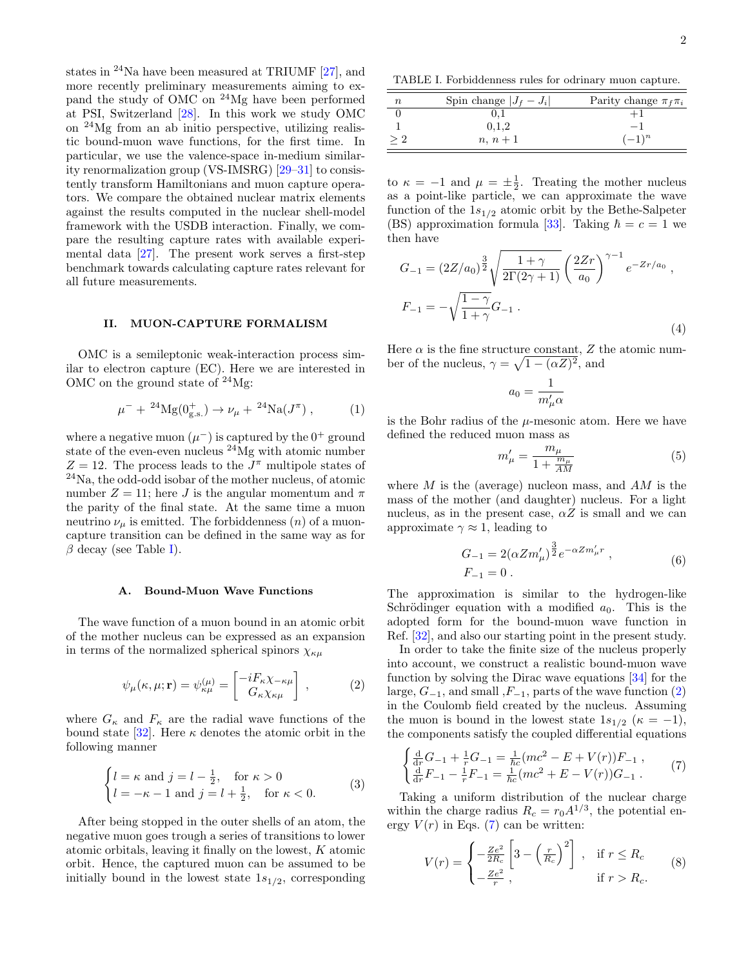states in  $24$ Na have been measured at TRIUMF [\[27\]](#page-8-22), and more recently preliminary measurements aiming to expand the study of OMC on <sup>24</sup>Mg have been performed at PSI, Switzerland [\[28\]](#page-8-23). In this work we study OMC on <sup>24</sup>Mg from an ab initio perspective, utilizing realistic bound-muon wave functions, for the first time. In particular, we use the valence-space in-medium similarity renormalization group (VS-IMSRG) [\[29–](#page-8-24)[31\]](#page-8-25) to consistently transform Hamiltonians and muon capture operators. We compare the obtained nuclear matrix elements against the results computed in the nuclear shell-model framework with the USDB interaction. Finally, we compare the resulting capture rates with available experimental data [\[27\]](#page-8-22). The present work serves a first-step benchmark towards calculating capture rates relevant for all future measurements.

# II. MUON-CAPTURE FORMALISM

OMC is a semileptonic weak-interaction process similar to electron capture (EC). Here we are interested in OMC on the ground state of  $24$ Mg:

$$
\mu^{-} + {}^{24}\mathrm{Mg}(0^{+}_{\mathrm{g.s.}}) \to \nu_{\mu} + {}^{24}\mathrm{Na}(J^{\pi}) , \qquad (1)
$$

where a negative muon  $(\mu^-)$  is captured by the  $0^+$  ground state of the even-even nucleus <sup>24</sup>Mg with atomic number  $Z = 12$ . The process leads to the  $J^{\pi}$  multipole states of <sup>24</sup>Na, the odd-odd isobar of the mother nucleus, of atomic number  $Z = 11$ ; here J is the angular momentum and  $\pi$ the parity of the final state. At the same time a muon neutrino  $\nu_{\mu}$  is emitted. The forbiddenness  $(n)$  of a muoncapture transition can be defined in the same way as for  $\beta$  decay (see Table [I\)](#page-1-0).

#### <span id="page-1-4"></span>A. Bound-Muon Wave Functions

The wave function of a muon bound in an atomic orbit of the mother nucleus can be expressed as an expansion in terms of the normalized spherical spinors  $\chi_{\kappa\mu}$ 

<span id="page-1-1"></span>
$$
\psi_{\mu}(\kappa, \mu; \mathbf{r}) = \psi_{\kappa\mu}^{(\mu)} = \begin{bmatrix} -iF_{\kappa}\chi_{-\kappa\mu} \\ G_{\kappa}\chi_{\kappa\mu} \end{bmatrix} , \qquad (2)
$$

where  $G_{\kappa}$  and  $F_{\kappa}$  are the radial wave functions of the bound state [\[32\]](#page-8-26). Here  $\kappa$  denotes the atomic orbit in the following manner

$$
\begin{cases} l = \kappa \text{ and } j = l - \frac{1}{2}, & \text{for } \kappa > 0 \\ l = -\kappa - 1 \text{ and } j = l + \frac{1}{2}, & \text{for } \kappa < 0. \end{cases} \tag{3}
$$

After being stopped in the outer shells of an atom, the negative muon goes trough a series of transitions to lower atomic orbitals, leaving it finally on the lowest, K atomic orbit. Hence, the captured muon can be assumed to be initially bound in the lowest state  $1s_{1/2}$ , corresponding

<span id="page-1-0"></span>TABLE I. Forbiddenness rules for odrinary muon capture.

| $\it n$ | Spin change $ J_f - J_i $ | Parity change $\pi_f \pi_i$ |
|---------|---------------------------|-----------------------------|
|         |                           |                             |
|         | 0,1,2                     | - 1                         |
|         | $n, n+1$                  | $(-1)^n$                    |

to  $\kappa = -1$  and  $\mu = \pm \frac{1}{2}$ . Treating the mother nucleus as a point-like particle, we can approximate the wave function of the  $1s_{1/2}$  atomic orbit by the Bethe-Salpeter (BS) approximation formula [\[33\]](#page-8-27). Taking  $\hbar = c = 1$  we then have

$$
G_{-1} = (2Z/a_0)^{\frac{3}{2}} \sqrt{\frac{1+\gamma}{2\Gamma(2\gamma+1)}} \left(\frac{2Zr}{a_0}\right)^{\gamma-1} e^{-Zr/a_0},
$$
  

$$
F_{-1} = -\sqrt{\frac{1-\gamma}{1+\gamma}} G_{-1}.
$$
 (4)

Here  $\alpha$  is the fine structure constant, Z the atomic number of the nucleus,  $\gamma = \sqrt{1 - (\alpha Z)^2}$ , and

$$
a_0 = \frac{1}{m'_\mu \alpha}
$$

is the Bohr radius of the  $\mu$ -mesonic atom. Here we have defined the reduced muon mass as

$$
m'_{\mu} = \frac{m_{\mu}}{1 + \frac{m_{\mu}}{AM}}\tag{5}
$$

where  $M$  is the (average) nucleon mass, and  $AM$  is the mass of the mother (and daughter) nucleus. For a light nucleus, as in the present case,  $\alpha Z$  is small and we can approximate  $\gamma \approx 1$ , leading to

$$
G_{-1} = 2(\alpha Z m'_{\mu})^{\frac{3}{2}} e^{-\alpha Z m'_{\mu} r} ,
$$
  
\n
$$
F_{-1} = 0 .
$$
 (6)

<span id="page-1-3"></span>The approximation is similar to the hydrogen-like Schrödinger equation with a modified  $a_0$ . This is the adopted form for the bound-muon wave function in Ref. [\[32\]](#page-8-26), and also our starting point in the present study.

In order to take the finite size of the nucleus properly into account, we construct a realistic bound-muon wave function by solving the Dirac wave equations [\[34\]](#page-8-28) for the large,  $G_{-1}$ , and small , $F_{-1}$ , parts of the wave function [\(2\)](#page-1-1) in the Coulomb field created by the nucleus. Assuming the muon is bound in the lowest state  $1s_{1/2}$  ( $\kappa = -1$ ), the components satisfy the coupled differential equations

<span id="page-1-2"></span>
$$
\begin{cases} \frac{\mathrm{d}}{\mathrm{d}r} G_{-1} + \frac{1}{r} G_{-1} = \frac{1}{\hbar c} (mc^2 - E + V(r)) F_{-1} ,\\ \frac{\mathrm{d}}{\mathrm{d}r} F_{-1} - \frac{1}{r} F_{-1} = \frac{1}{\hbar c} (mc^2 + E - V(r)) G_{-1} . \end{cases} (7)
$$

Taking a uniform distribution of the nuclear charge within the charge radius  $R_c = r_0 A^{1/3}$ , the potential energy  $V(r)$  in Eqs. [\(7\)](#page-1-2) can be written:

$$
V(r) = \begin{cases} -\frac{Ze^2}{2R_c} \left[ 3 - \left(\frac{r}{R_c}\right)^2 \right], & \text{if } r \le R_c\\ -\frac{Ze^2}{r}, & \text{if } r > R_c. \end{cases}
$$
 (8)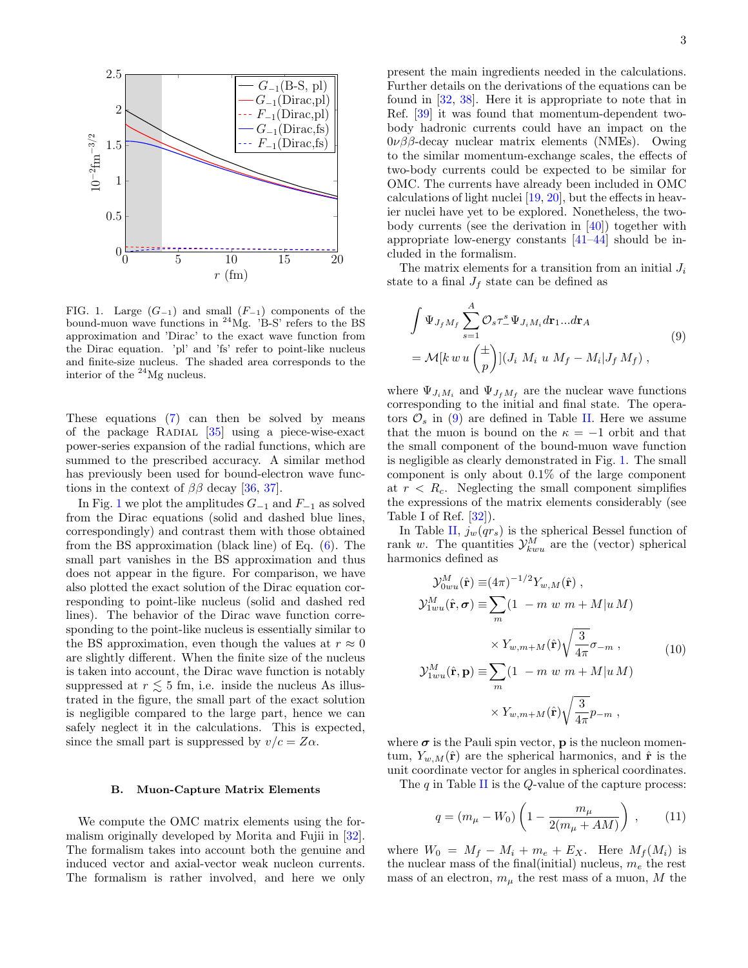

<span id="page-2-0"></span>FIG. 1. Large  $(G_{-1})$  and small  $(F_{-1})$  components of the bound-muon wave functions in <sup>24</sup>Mg. 'B-S' refers to the BS approximation and 'Dirac' to the exact wave function from the Dirac equation. 'pl' and 'fs' refer to point-like nucleus and finite-size nucleus. The shaded area corresponds to the interior of the <sup>24</sup>Mg nucleus.

These equations [\(7\)](#page-1-2) can then be solved by means of the package RADIAL  $[35]$  using a piece-wise-exact power-series expansion of the radial functions, which are summed to the prescribed accuracy. A similar method has previously been used for bound-electron wave functions in the context of  $\beta\beta$  decay [\[36,](#page-9-0) [37\]](#page-9-1).

In Fig. [1](#page-2-0) we plot the amplitudes  $G_{-1}$  and  $F_{-1}$  as solved from the Dirac equations (solid and dashed blue lines, correspondingly) and contrast them with those obtained from the BS approximation (black line) of Eq. [\(6\)](#page-1-3). The small part vanishes in the BS approximation and thus does not appear in the figure. For comparison, we have also plotted the exact solution of the Dirac equation corresponding to point-like nucleus (solid and dashed red lines). The behavior of the Dirac wave function corresponding to the point-like nucleus is essentially similar to the BS approximation, even though the values at  $r \approx 0$ are slightly different. When the finite size of the nucleus is taken into account, the Dirac wave function is notably suppressed at  $r \lesssim 5$  fm, i.e. inside the nucleus As illustrated in the figure, the small part of the exact solution is negligible compared to the large part, hence we can safely neglect it in the calculations. This is expected, since the small part is suppressed by  $v/c = Z\alpha$ .

#### B. Muon-Capture Matrix Elements

We compute the OMC matrix elements using the formalism originally developed by Morita and Fujii in [\[32\]](#page-8-26). The formalism takes into account both the genuine and induced vector and axial-vector weak nucleon currents. The formalism is rather involved, and here we only

present the main ingredients needed in the calculations. Further details on the derivations of the equations can be found in [\[32,](#page-8-26) [38\]](#page-9-2). Here it is appropriate to note that in Ref. [\[39\]](#page-9-3) it was found that momentum-dependent twobody hadronic currents could have an impact on the  $0\nu\beta\beta$ -decay nuclear matrix elements (NMEs). Owing to the similar momentum-exchange scales, the effects of two-body currents could be expected to be similar for OMC. The currents have already been included in OMC calculations of light nuclei [\[19,](#page-8-14) [20\]](#page-8-15), but the effects in heavier nuclei have yet to be explored. Nonetheless, the twobody currents (see the derivation in [\[40\]](#page-9-4)) together with appropriate low-energy constants [\[41–](#page-9-5)[44\]](#page-9-6) should be included in the formalism.

The matrix elements for a transition from an initial  $J_i$ state to a final  $J_f$  state can be defined as

<span id="page-2-1"></span>
$$
\int \Psi_{J_f M_f} \sum_{s=1}^{A} \mathcal{O}_s \tau_-^s \Psi_{J_i M_i} d\mathbf{r}_1 ... d\mathbf{r}_A
$$
\n
$$
= \mathcal{M}[k \, w \, u \left(\frac{\pm}{p}\right)] (J_i \, M_i \, u \, M_f - M_i | J_f M_f) \,, \tag{9}
$$

where  $\Psi_{J_iM_i}$  and  $\Psi_{J_fM_f}$  are the nuclear wave functions corresponding to the initial and final state. The operators  $\mathcal{O}_s$  in [\(9\)](#page-2-1) are defined in Table [II.](#page-3-0) Here we assume that the muon is bound on the  $\kappa = -1$  orbit and that the small component of the bound-muon wave function is negligible as clearly demonstrated in Fig. [1.](#page-2-0) The small component is only about 0.1% of the large component at  $r < R_c$ . Neglecting the small component simplifies the expressions of the matrix elements considerably (see Table I of Ref.  $[32]$ .

In Table [II,](#page-3-0)  $j_w(qr_s)$  is the spherical Bessel function of rank w. The quantities  $\mathcal{Y}_{kwu}^M$  are the (vector) spherical harmonics defined as

$$
\mathcal{Y}_{0wu}^M(\hat{\mathbf{r}}) \equiv (4\pi)^{-1/2} Y_{w,M}(\hat{\mathbf{r}}) ,
$$
  
\n
$$
\mathcal{Y}_{1wu}^M(\hat{\mathbf{r}}, \sigma) \equiv \sum_m (1 - m \ w \ m + M|u \ M)
$$
  
\n
$$
\times Y_{w,m+M}(\hat{\mathbf{r}}) \sqrt{\frac{3}{4\pi}} \sigma_{-m} ,
$$
  
\n
$$
\mathcal{Y}_{1wu}^M(\hat{\mathbf{r}}, \mathbf{p}) \equiv \sum_m (1 - m \ w \ m + M|u \ M)
$$
  
\n
$$
\times Y_{w,m+M}(\hat{\mathbf{r}}) \sqrt{\frac{3}{4\pi}} p_{-m} ,
$$
  
\n(10)

where  $\sigma$  is the Pauli spin vector, **p** is the nucleon momentum,  $Y_{w,M}(\hat{\mathbf{r}})$  are the spherical harmonics, and  $\hat{\mathbf{r}}$  is the unit coordinate vector for angles in spherical coordinates.

The  $q$  in Table [II](#page-3-0) is the  $Q$ -value of the capture process:

<span id="page-2-2"></span>
$$
q = (m_{\mu} - W_0) \left( 1 - \frac{m_{\mu}}{2(m_{\mu} + AM)} \right) , \qquad (11)
$$

where  $W_0 = M_f - M_i + m_e + E_X$ . Here  $M_f(M_i)$  is the nuclear mass of the final(initial) nucleus,  $m_e$  the rest mass of an electron,  $m_{\mu}$  the rest mass of a muon, M the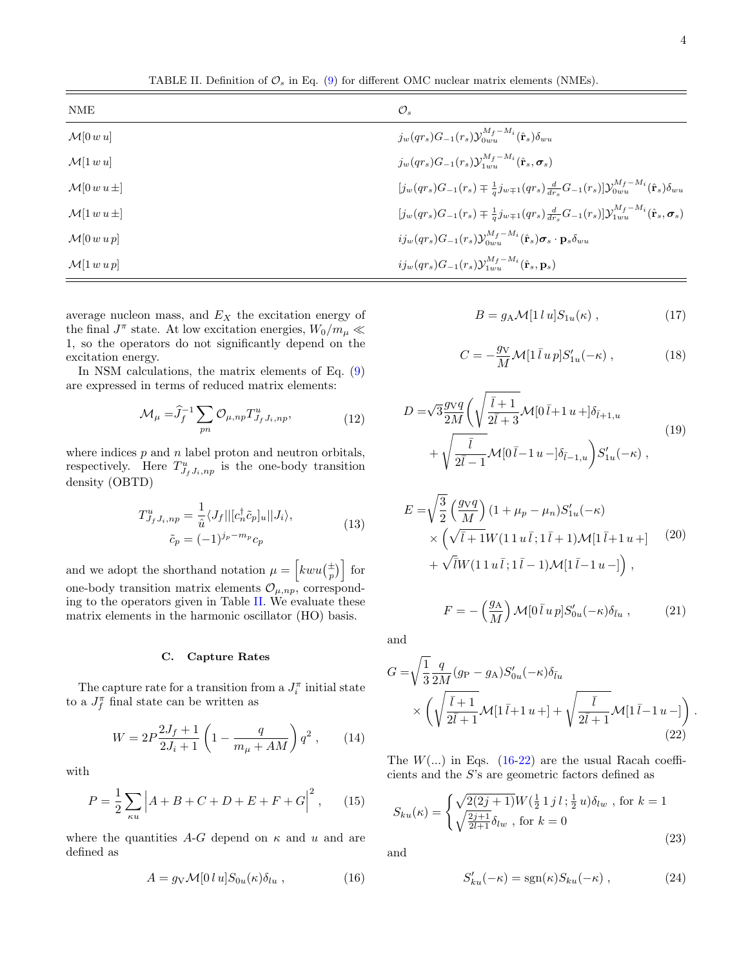<span id="page-3-0"></span>TABLE II. Definition of  $\mathcal{O}_s$  in Eq. [\(9\)](#page-2-1) for different OMC nuclear matrix elements (NMEs).

| NME                      | $\mathcal{O}_s$                                                                                                                                           |
|--------------------------|-----------------------------------------------------------------------------------------------------------------------------------------------------------|
| $\mathcal{M}[0 w u]$     | $j_w(qr_s)G_{-1}(r_s)\mathcal{Y}_{0mn}^{M_f-M_i}(\hat{\mathbf{r}}_s)\delta_{mn}$                                                                          |
| $\mathcal{M}[1 w u]$     | $j_w(qr_s)G_{-1}(r_s)\mathcal{Y}_{1,\text{out}}^{M_f-M_i}(\hat{\mathbf{r}}_s,\boldsymbol{\sigma}_s)$                                                      |
| $\mathcal{M}[0 w u \pm]$ | $\left[j_w(qr_s)G_{-1}(r_s) \mp \frac{1}{a}j_{w\mp 1}(qr_s)\frac{d}{dr_s}G_{-1}(r_s)\right]$ $\mathcal{Y}_{0wu}^{M_f-M_i}(\hat{\mathbf{r}}_s)\delta_{wu}$ |
| $\mathcal{M}[1 w u \pm]$ | $[j_w(qr_s)G_{-1}(r_s) \mp \frac{1}{g}j_{w\mp 1}(qr_s)\frac{d}{dr_s}G_{-1}(r_s)]\mathcal{Y}_{1wu}^{M_f-M_i}(\hat{\mathbf{r}}_s, \sigma_s)$                |
| $\mathcal{M}[0 w u p]$   | $i j_w(qr_s) G_{-1}(r_s) \mathcal{Y}_{0uu}^{Mf-M_i}(\hat{\mathbf{r}}_s) \boldsymbol{\sigma}_s \cdot \mathbf{p}_s \delta_{wu}$                             |
| $\mathcal{M}[1 w u p]$   | $i j_w(qr_s) G_{-1}(r_s) \mathcal{Y}_{1wu}^{M_f - M_i}(\hat{\mathbf{r}}_s, \mathbf{p}_s)$                                                                 |

average nucleon mass, and  $E_X$  the excitation energy of the final  $J^{\pi}$  state. At low excitation energies,  $W_0/m_{\mu} \ll$ 1, so the operators do not significantly depend on the excitation energy.

In NSM calculations, the matrix elements of Eq. [\(9\)](#page-2-1) are expressed in terms of reduced matrix elements:

$$
\mathcal{M}_{\mu} = \hat{J}_f^{-1} \sum_{pn} \mathcal{O}_{\mu, np} T_{J_f J_i, np}^u,
$$
\n(12)

where indices  $p$  and  $n$  label proton and neutron orbitals, respectively. Here  $T_{J_f J_i, np}^u$  is the one-body transition density (OBTD)

$$
T_{J_f J_i, np}^u = \frac{1}{\hat{u}} \langle J_f || [c_n^{\dagger} \tilde{c}_p]_u || J_i \rangle,
$$
  
\n
$$
\tilde{c}_p = (-1)^{j_p - m_p} c_p
$$
\n(13)

and we adopt the shorthand notation  $\mu = \left[kwu(\frac{+}{p})\right]$  for one-body transition matrix elements  $\mathcal{O}_{\mu, np}$ , corresponding to the operators given in Table [II.](#page-3-0) We evaluate these matrix elements in the harmonic oscillator (HO) basis.

#### C. Capture Rates

The capture rate for a transition from a  $J_i^{\pi}$  initial state to a  $J_f^{\pi}$  final state can be written as

$$
W = 2P \frac{2J_f + 1}{2J_i + 1} \left( 1 - \frac{q}{m_\mu + AM} \right) q^2 ,\qquad(14)
$$

with

<span id="page-3-3"></span>
$$
P = \frac{1}{2} \sum_{\kappa u} \left| A + B + C + D + E + F + G \right|^2, \qquad (15)
$$

where the quantities A-G depend on  $\kappa$  and  $u$  and are defined as

<span id="page-3-1"></span>
$$
A = g_V \mathcal{M}[0 l u] S_{0u}(\kappa) \delta_{lu} , \qquad (16)
$$

$$
B = g_A \mathcal{M}[1 \, l \, u] S_{1u}(\kappa) \,, \tag{17}
$$

$$
C = -\frac{g_V}{M} \mathcal{M} \left[ 1 \bar{l} \, u \, p \right] S'_{1u}(-\kappa) \;, \tag{18}
$$

$$
D = \sqrt{3} \frac{g \sqrt{q}}{2M} \left( \sqrt{\frac{\bar{l} + 1}{2\bar{l} + 3}} \mathcal{M} [0 \, \bar{l} + 1 \, u +] \delta_{\bar{l} + 1, u} + \sqrt{\frac{\bar{l}}{2\bar{l} - 1}} \mathcal{M} [0 \, \bar{l} - 1 \, u -] \delta_{\bar{l} - 1, u} \right) S'_{1u}(-\kappa) ,
$$
\n
$$
(19)
$$

$$
E = \sqrt{\frac{3}{2}} \left( \frac{g_V q}{M} \right) (1 + \mu_p - \mu_n) S'_{1u}(-\kappa)
$$
  
 
$$
\times \left( \sqrt{\bar{l} + 1} W (11 u \bar{l}; 1 \bar{l} + 1) \mathcal{M} [1 \bar{l} + 1 u + ] \right) + \sqrt{\bar{l}} W (11 u \bar{l}; 1 \bar{l} - 1) \mathcal{M} [1 \bar{l} - 1 u - ] \right),
$$
 (20)

 $\Big) \mathcal{M}[0 \bar{l} u p] S'_{0u}(-\kappa) \delta_{\bar{l}u} ,$  (21)

.

and

 $F = -\left(\frac{g_A}{M}\right)$ 

M

<span id="page-3-2"></span>
$$
G = \sqrt{\frac{1}{3}} \frac{q}{2M} (g_P - g_A) S'_{0u}(-\kappa) \delta_{\bar{l}u}
$$

$$
\times \left( \sqrt{\frac{\bar{l} + 1}{2\bar{l} + 1}} \mathcal{M}[\mathbf{1}\bar{l} + \mathbf{1}u +] + \sqrt{\frac{\bar{l}}{2\bar{l} + 1}} \mathcal{M}[\mathbf{1}\bar{l} - \mathbf{1}u -] \right)
$$
(22)

The  $W(\ldots)$  in Eqs. [\(16-](#page-3-1)[22\)](#page-3-2) are the usual Racah coefficients and the S's are geometric factors defined as

$$
S_{ku}(\kappa) = \begin{cases} \sqrt{2(2j+1)} W(\frac{1}{2} 1 j l; \frac{1}{2} u) \delta_{lw} , \text{ for } k = 1\\ \sqrt{\frac{2j+1}{2l+1}} \delta_{lw} , \text{ for } k = 0 \end{cases}
$$
(23)

and

$$
S'_{ku}(-\kappa) = \text{sgn}(\kappa)S_{ku}(-\kappa) , \qquad (24)
$$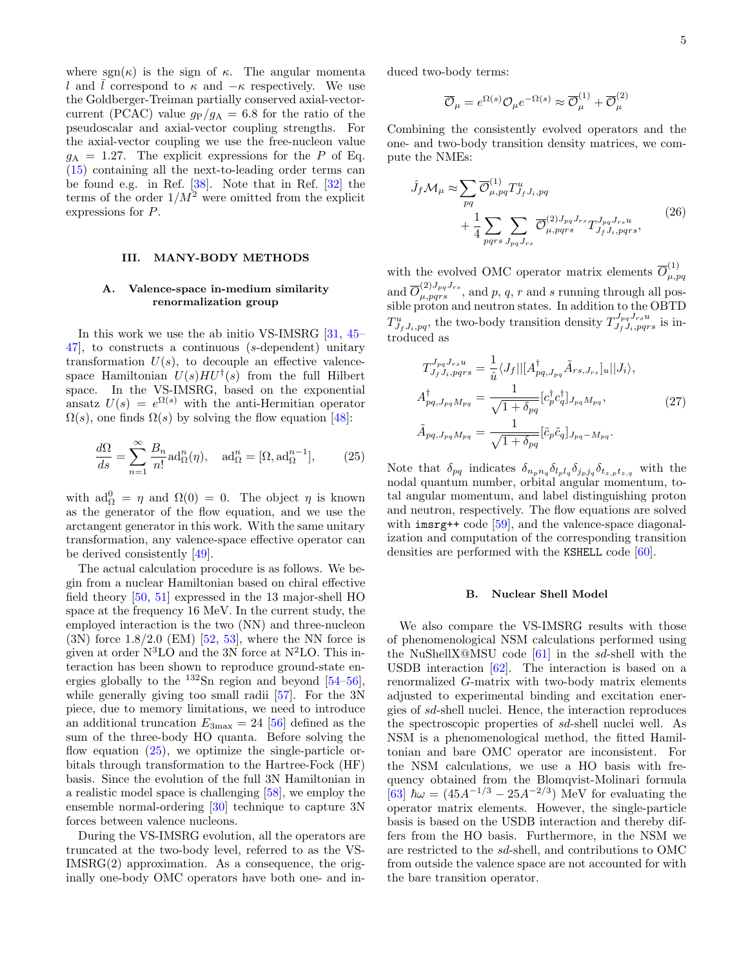where  $sgn(\kappa)$  is the sign of  $\kappa$ . The angular momenta l and  $\overline{l}$  correspond to  $\kappa$  and  $-\kappa$  respectively. We use the Goldberger-Treiman partially conserved axial-vectorcurrent (PCAC) value  $g_P/g_A = 6.8$  for the ratio of the pseudoscalar and axial-vector coupling strengths. For the axial-vector coupling we use the free-nucleon value  $g_A = 1.27$ . The explicit expressions for the P of Eq. [\(15\)](#page-3-3) containing all the next-to-leading order terms can be found e.g. in Ref. [\[38\]](#page-9-2). Note that in Ref. [\[32\]](#page-8-26) the terms of the order  $1/M^2$  were omitted from the explicit expressions for P.

### III. MANY-BODY METHODS

## A. Valence-space in-medium similarity renormalization group

In this work we use the ab initio VS-IMSRG [\[31,](#page-8-25) [45–](#page-9-7) [47\]](#page-9-8), to constructs a continuous (s-dependent) unitary transformation  $U(s)$ , to decouple an effective valencespace Hamiltonian  $U(s)HU^{\dagger}(s)$  from the full Hilbert space. In the VS-IMSRG, based on the exponential ansatz  $U(s) = e^{\Omega(s)}$  with the anti-Hermitian operator  $\Omega(s)$ , one finds  $\Omega(s)$  by solving the flow equation [\[48\]](#page-9-9):

<span id="page-4-0"></span>
$$
\frac{d\Omega}{ds} = \sum_{n=1}^{\infty} \frac{B_n}{n!} \text{ad}_{\Omega}^n(\eta), \quad \text{ad}_{\Omega}^n = [\Omega, \text{ad}_{\Omega}^{n-1}], \tag{25}
$$

with  $ad_{\Omega}^{0} = \eta$  and  $\Omega(0) = 0$ . The object  $\eta$  is known as the generator of the flow equation, and we use the arctangent generator in this work. With the same unitary transformation, any valence-space effective operator can be derived consistently [\[49\]](#page-9-10).

The actual calculation procedure is as follows. We begin from a nuclear Hamiltonian based on chiral effective field theory [\[50,](#page-9-11) [51\]](#page-9-12) expressed in the 13 major-shell HO space at the frequency 16 MeV. In the current study, the employed interaction is the two (NN) and three-nucleon  $(3N)$  force 1.8/2.0 (EM) [\[52,](#page-9-13) [53\]](#page-9-14), where the NN force is given at order  $N<sup>3</sup>LO$  and the 3N force at  $N<sup>2</sup>LO$ . This interaction has been shown to reproduce ground-state energies globally to the  $^{132}Sn$  region and beyond  $[54–56]$  $[54–56]$ , while generally giving too small radii [\[57\]](#page-9-17). For the 3N piece, due to memory limitations, we need to introduce an additional truncation  $E_{3\text{max}} = 24$  [\[56\]](#page-9-16) defined as the sum of the three-body HO quanta. Before solving the flow equation  $(25)$ , we optimize the single-particle orbitals through transformation to the Hartree-Fock (HF) basis. Since the evolution of the full 3N Hamiltonian in a realistic model space is challenging [\[58\]](#page-9-18), we employ the ensemble normal-ordering [\[30\]](#page-8-30) technique to capture 3N forces between valence nucleons.

During the VS-IMSRG evolution, all the operators are truncated at the two-body level, referred to as the VS-IMSRG(2) approximation. As a consequence, the originally one-body OMC operators have both one- and induced two-body terms:

$$
\overline{\mathcal{O}}_{\mu} = e^{\Omega(s)} \mathcal{O}_{\mu} e^{-\Omega(s)} \approx \overline{\mathcal{O}}_{\mu}^{(1)} + \overline{\mathcal{O}}_{\mu}^{(2)}
$$

Combining the consistently evolved operators and the one- and two-body transition density matrices, we compute the NMEs:

$$
\hat{J}_f \mathcal{M}_\mu \approx \sum_{pq} \overline{\mathcal{O}}_{\mu, pq}^{(1)} T_{J_f J_i, pq}^u
$$
\n
$$
+ \frac{1}{4} \sum_{pqrs} \sum_{J_{pq}J_{rs}} \overline{\mathcal{O}}_{\mu, pqrs}^{(2)J_{pq}J_{rs}} T_{J_f J_i, pqrs}^{J_{pq}J_{rs}} ,
$$
\n(26)

with the evolved OMC operator matrix elements  $\overline{O}_{\mu,\tau}^{(1)}$  $\mu$ ,  $pq$ and  $\overline{O}_{\mu,pqrs}^{(2)J_{pq}J_{rs}},$  and  $p, q, r$  and s running through all possible proton and neutron states. In addition to the OBTD  $T^u_{J_f J_i, pq}$ , the two-body transition density  $T^{J_{pq} J_{rs} u}_{J_f J_i, pqrs}$  is introduced as

$$
T_{J_f J_i, p q r s}^{J_{pq} J_{rs} u} = \frac{1}{\hat{u}} \langle J_f || [A_{pq, J_{pq}}^{\dagger} \tilde{A}_{rs, J_{rs}}]_u || J_i \rangle,
$$
  
\n
$$
A_{pq, J_{pq} M_{pq}}^{\dagger} = \frac{1}{\sqrt{1 + \delta_{pq}}} [c_p^{\dagger} c_q^{\dagger}]_{J_{pq} M_{pq}},
$$
  
\n
$$
\tilde{A}_{pq, J_{pq} M_{pq}} = \frac{1}{\sqrt{1 + \delta_{pq}}} [\tilde{c}_p \tilde{c}_q]_{J_{pq} - M_{pq}}.
$$
\n(27)

Note that  $\delta_{pq}$  indicates  $\delta_{npn_q} \delta_{lpl_q} \delta_{jpj_q} \delta_{t_{z,p}t_{z,q}}$  with the nodal quantum number, orbital angular momentum, total angular momentum, and label distinguishing proton and neutron, respectively. The flow equations are solved with imsrg++ code [\[59\]](#page-9-19), and the valence-space diagonalization and computation of the corresponding transition densities are performed with the KSHELL code [\[60\]](#page-9-20).

#### B. Nuclear Shell Model

We also compare the VS-IMSRG results with those of phenomenological NSM calculations performed using the NuShellX@MSU code  $[61]$  in the sd-shell with the USDB interaction [\[62\]](#page-9-22). The interaction is based on a renormalized G-matrix with two-body matrix elements adjusted to experimental binding and excitation energies of sd-shell nuclei. Hence, the interaction reproduces the spectroscopic properties of sd-shell nuclei well. As NSM is a phenomenological method, the fitted Hamiltonian and bare OMC operator are inconsistent. For the NSM calculations, we use a HO basis with frequency obtained from the Blomqvist-Molinari formula [\[63\]](#page-9-23)  $\hbar \omega = (45A^{-1/3} - 25A^{-2/3})$  MeV for evaluating the operator matrix elements. However, the single-particle basis is based on the USDB interaction and thereby differs from the HO basis. Furthermore, in the NSM we are restricted to the sd-shell, and contributions to OMC from outside the valence space are not accounted for with the bare transition operator.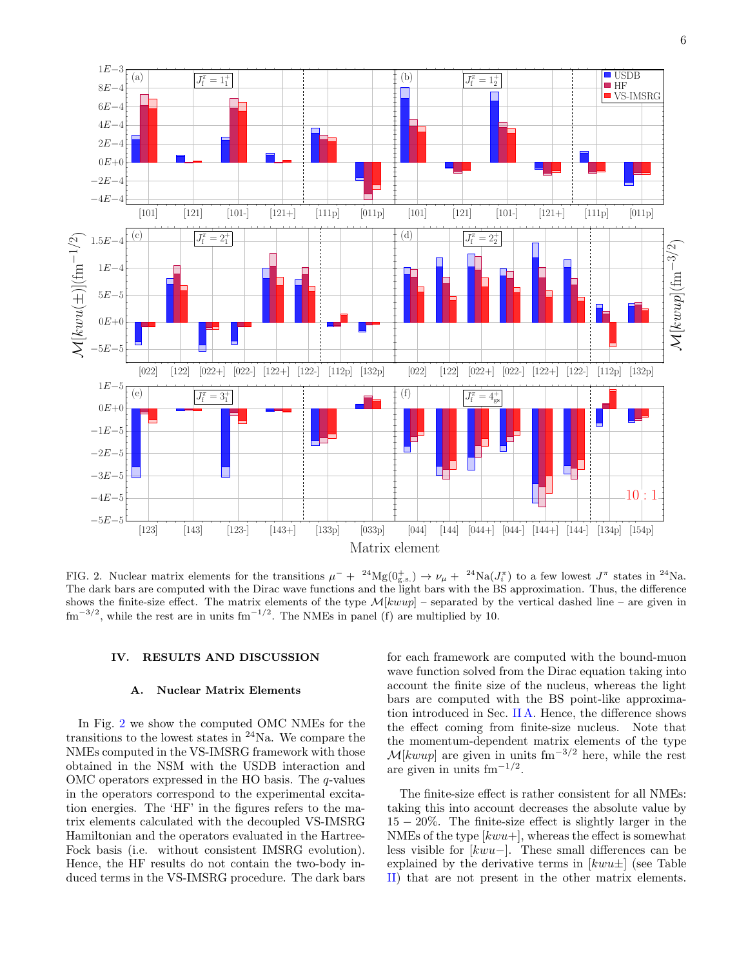

<span id="page-5-0"></span>FIG. 2. Nuclear matrix elements for the transitions  $\mu^- + 24Mg(0_{g.s.}^+) \rightarrow \nu_\mu + 24N a(J_i^{\pi})$  to a few lowest  $J^{\pi}$  states in  $^{24}$ Na. The dark bars are computed with the Dirac wave functions and the light bars with the BS approximation. Thus, the difference shows the finite-size effect. The matrix elements of the type  $\mathcal{M}[k w u p]$  – separated by the vertical dashed line – are given in  $\text{fm}^{-3/2}$ , while the rest are in units  $\text{fm}^{-1/2}$ . The NMEs in panel (f) are multiplied by 10.

### IV. RESULTS AND DISCUSSION

#### A. Nuclear Matrix Elements

In Fig. [2](#page-5-0) we show the computed OMC NMEs for the transitions to the lowest states in  $24$ Na. We compare the NMEs computed in the VS-IMSRG framework with those obtained in the NSM with the USDB interaction and OMC operators expressed in the HO basis. The  $q$ -values in the operators correspond to the experimental excitation energies. The 'HF' in the figures refers to the matrix elements calculated with the decoupled VS-IMSRG Hamiltonian and the operators evaluated in the Hartree-Fock basis (i.e. without consistent IMSRG evolution). Hence, the HF results do not contain the two-body induced terms in the VS-IMSRG procedure. The dark bars

for each framework are computed with the bound-muon wave function solved from the Dirac equation taking into account the finite size of the nucleus, whereas the light bars are computed with the BS point-like approximation introduced in Sec. [II A.](#page-1-4) Hence, the difference shows the effect coming from finite-size nucleus. Note that the momentum-dependent matrix elements of the type  $M[kwup]$  are given in units fm<sup>-3/2</sup> here, while the rest are given in units  $\text{fm}^{-1/2}$ .

The finite-size effect is rather consistent for all NMEs: taking this into account decreases the absolute value by 15 − 20%. The finite-size effect is slightly larger in the NMEs of the type  $[kwu+]$ , whereas the effect is somewhat less visible for [kwu−]. These small differences can be explained by the derivative terms in  $[kwu\pm]$  (see Table [II\)](#page-3-0) that are not present in the other matrix elements.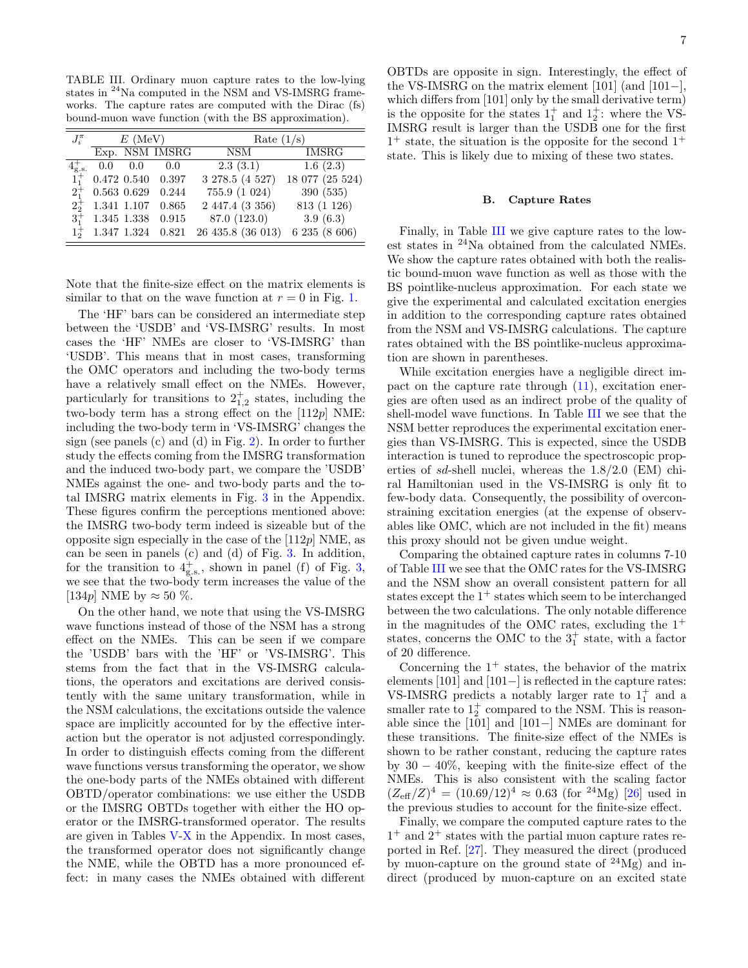<span id="page-6-0"></span>TABLE III. Ordinary muon capture rates to the low-lying states in <sup>24</sup>Na computed in the NSM and VS-IMSRG frameworks. The capture rates are computed with the Dirac (fs) bound-muon wave function (with the BS approximation).

| $J_i^{\pi}$                 |             | $E$ (MeV)   |                         | Rate $(1/s)$      |                 |  |  |  |
|-----------------------------|-------------|-------------|-------------------------|-------------------|-----------------|--|--|--|
|                             |             |             | Exp. NSM IMSRG          | NSM               | <b>IMSRG</b>    |  |  |  |
| $4_{\text{g.s.}}^{\dagger}$ | 0.0         | 0.0         | 0.0                     | 2.3(3.1)          | 1.6(2.3)        |  |  |  |
| $1^{+}$                     |             |             | $0.472$ $0.540$ $0.397$ | 3 278.5 (4 527)   | 18 077 (25 524) |  |  |  |
| $2^{+}_{1}$                 |             | 0.563 0.629 | 0.244                   | 755.9 (1 024)     | 390(535)        |  |  |  |
| $2^{+}_{2}$                 | 1.341 1.107 |             | 0.865                   | 2 447.4 (3 356)   | 813 (1 126)     |  |  |  |
| $3^{+}_{1}$                 |             | 1.345 1.338 | 0.915                   | 87.0 (123.0)      | 3.9(6.3)        |  |  |  |
|                             |             |             | 1.347 1.324 0.821       | 26 435.8 (36 013) | 6 235 (8 606)   |  |  |  |

Note that the finite-size effect on the matrix elements is similar to that on the wave function at  $r = 0$  in Fig. [1.](#page-2-0)

The 'HF' bars can be considered an intermediate step between the 'USDB' and 'VS-IMSRG' results. In most cases the 'HF' NMEs are closer to 'VS-IMSRG' than 'USDB'. This means that in most cases, transforming the OMC operators and including the two-body terms have a relatively small effect on the NMEs. However, particularly for transitions to  $2^{+}_{1,2}$  states, including the two-body term has a strong effect on the  $[112p]$  NME: including the two-body term in 'VS-IMSRG' changes the sign (see panels (c) and (d) in Fig. [2\)](#page-5-0). In order to further study the effects coming from the IMSRG transformation and the induced two-body part, we compare the 'USDB' NMEs against the one- and two-body parts and the total IMSRG matrix elements in Fig. [3](#page-10-0) in the Appendix. These figures confirm the perceptions mentioned above: the IMSRG two-body term indeed is sizeable but of the opposite sign especially in the case of the  $[112p]$  NME, as can be seen in panels (c) and (d) of Fig. [3.](#page-10-0) In addition, for the transition to  $4^+_{\text{g.s.}}$ , shown in panel (f) of Fig. [3,](#page-10-0) we see that the two-body term increases the value of the [134p] NME by  $\approx 50\%$ .

On the other hand, we note that using the VS-IMSRG wave functions instead of those of the NSM has a strong effect on the NMEs. This can be seen if we compare the 'USDB' bars with the 'HF' or 'VS-IMSRG'. This stems from the fact that in the VS-IMSRG calculations, the operators and excitations are derived consistently with the same unitary transformation, while in the NSM calculations, the excitations outside the valence space are implicitly accounted for by the effective interaction but the operator is not adjusted correspondingly. In order to distinguish effects coming from the different wave functions versus transforming the operator, we show the one-body parts of the NMEs obtained with different OBTD/operator combinations: we use either the USDB or the IMSRG OBTDs together with either the HO operator or the IMSRG-transformed operator. The results are given in Tables  $V-X$  $V-X$  in the Appendix. In most cases, the transformed operator does not significantly change the NME, while the OBTD has a more pronounced effect: in many cases the NMEs obtained with different

OBTDs are opposite in sign. Interestingly, the effect of the VS-IMSRG on the matrix element [101] (and [101−], which differs from [101] only by the small derivative term) is the opposite for the states  $1^+_1$  and  $1^+_2$ : where the VS-IMSRG result is larger than the USDB one for the first 1 <sup>+</sup> state, the situation is the opposite for the second 1<sup>+</sup> state. This is likely due to mixing of these two states.

# B. Capture Rates

Finally, in Table [III](#page-6-0) we give capture rates to the lowest states in <sup>24</sup>Na obtained from the calculated NMEs. We show the capture rates obtained with both the realistic bound-muon wave function as well as those with the BS pointlike-nucleus approximation. For each state we give the experimental and calculated excitation energies in addition to the corresponding capture rates obtained from the NSM and VS-IMSRG calculations. The capture rates obtained with the BS pointlike-nucleus approximation are shown in parentheses.

While excitation energies have a negligible direct impact on the capture rate through [\(11\)](#page-2-2), excitation energies are often used as an indirect probe of the quality of shell-model wave functions. In Table [III](#page-6-0) we see that the NSM better reproduces the experimental excitation energies than VS-IMSRG. This is expected, since the USDB interaction is tuned to reproduce the spectroscopic properties of sd-shell nuclei, whereas the 1.8/2.0 (EM) chiral Hamiltonian used in the VS-IMSRG is only fit to few-body data. Consequently, the possibility of overconstraining excitation energies (at the expense of observables like OMC, which are not included in the fit) means this proxy should not be given undue weight.

Comparing the obtained capture rates in columns 7-10 of Table [III](#page-6-0) we see that the OMC rates for the VS-IMSRG and the NSM show an overall consistent pattern for all states except the  $1^+$  states which seem to be interchanged between the two calculations. The only notable difference in the magnitudes of the OMC rates, excluding the  $1^+$ states, concerns the OMC to the  $3<sup>+</sup><sub>1</sub>$  state, with a factor of 20 difference.

Concerning the  $1^+$  states, the behavior of the matrix elements [101] and [101−] is reflected in the capture rates: VS-IMSRG predicts a notably larger rate to  $1<sup>+</sup><sub>1</sub>$  and a smaller rate to  $1^+_2$  compared to the NSM. This is reasonable since the [101] and [101−] NMEs are dominant for these transitions. The finite-size effect of the NMEs is shown to be rather constant, reducing the capture rates by  $30 - 40\%$ , keeping with the finite-size effect of the NMEs. This is also consistent with the scaling factor  $(Z_{\text{eff}}/Z)^4 = (10.69/12)^4 \approx 0.63$  (for <sup>24</sup>Mg) [\[26\]](#page-8-21) used in the previous studies to account for the finite-size effect.

Finally, we compare the computed capture rates to the 1 <sup>+</sup> and 2<sup>+</sup> states with the partial muon capture rates reported in Ref. [\[27\]](#page-8-22). They measured the direct (produced by muon-capture on the ground state of  $24Mg$  and indirect (produced by muon-capture on an excited state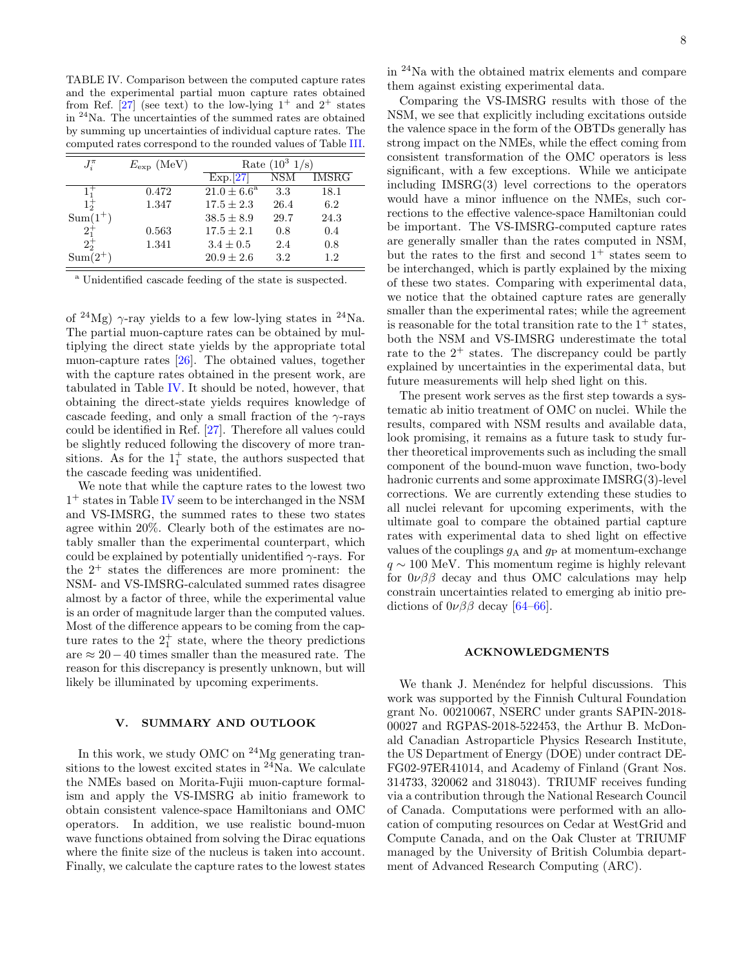<span id="page-7-0"></span>TABLE IV. Comparison between the computed capture rates and the experimental partial muon capture rates obtained from Ref. [\[27\]](#page-8-22) (see text) to the low-lying  $1^+$  and  $2^+$  states in <sup>24</sup>Na. The uncertainties of the summed rates are obtained by summing up uncertainties of individual capture rates. The computed rates correspond to the rounded values of Table [III.](#page-6-0)

| $J_i^{\pi}$ | $E_{\rm exp}$ (MeV) | Rate $(10^3 \frac{1}{s})$ |         |       |  |  |  |
|-------------|---------------------|---------------------------|---------|-------|--|--|--|
|             |                     | Exp.[27]                  | NSM     | IMSRG |  |  |  |
| $1^{+}$     | 0.472               | $21.0 \pm 6.6^{\rm a}$    | 3.3     | 18.1  |  |  |  |
| $1^{+}_{2}$ | 1.347               | $17.5 \pm 2.3$            | 26.4    | 6.2   |  |  |  |
| $Sum(1^+)$  |                     | $38.5 \pm 8.9$            | 29.7    | 24.3  |  |  |  |
| $2^{+}_{1}$ | 0.563               | $17.5 \pm 2.1$            | 0.8     | 0.4   |  |  |  |
| $2^{+}_{2}$ | 1.341               | $3.4 \pm 0.5$             | 2.4     | 0.8   |  |  |  |
| $Sum(2^+)$  |                     | $20.9 \pm 2.6$            | $3.2\,$ | 1.2   |  |  |  |

<sup>a</sup> Unidentified cascade feeding of the state is suspected.

of <sup>24</sup>Mg)  $\gamma$ -ray yields to a few low-lying states in <sup>24</sup>Na. The partial muon-capture rates can be obtained by multiplying the direct state yields by the appropriate total muon-capture rates [\[26\]](#page-8-21). The obtained values, together with the capture rates obtained in the present work, are tabulated in Table [IV.](#page-7-0) It should be noted, however, that obtaining the direct-state yields requires knowledge of cascade feeding, and only a small fraction of the  $\gamma$ -rays could be identified in Ref. [\[27\]](#page-8-22). Therefore all values could be slightly reduced following the discovery of more transitions. As for the  $1<sub>1</sub><sup>+</sup>$  state, the authors suspected that the cascade feeding was unidentified.

We note that while the capture rates to the lowest two 1 <sup>+</sup> states in Table [IV](#page-7-0) seem to be interchanged in the NSM and VS-IMSRG, the summed rates to these two states agree within 20%. Clearly both of the estimates are notably smaller than the experimental counterpart, which could be explained by potentially unidentified  $\gamma$ -rays. For the  $2^+$  states the differences are more prominent: the NSM- and VS-IMSRG-calculated summed rates disagree almost by a factor of three, while the experimental value is an order of magnitude larger than the computed values. Most of the difference appears to be coming from the capture rates to the  $2<sub>1</sub><sup>+</sup>$  state, where the theory predictions are  $\approx 20-40$  times smaller than the measured rate. The reason for this discrepancy is presently unknown, but will likely be illuminated by upcoming experiments.

# V. SUMMARY AND OUTLOOK

In this work, we study OMC on  $24$ Mg generating transitions to the lowest excited states in  $24$ Na. We calculate the NMEs based on Morita-Fujii muon-capture formalism and apply the VS-IMSRG ab initio framework to obtain consistent valence-space Hamiltonians and OMC operators. In addition, we use realistic bound-muon wave functions obtained from solving the Dirac equations where the finite size of the nucleus is taken into account. Finally, we calculate the capture rates to the lowest states in <sup>24</sup>Na with the obtained matrix elements and compare them against existing experimental data.

Comparing the VS-IMSRG results with those of the NSM, we see that explicitly including excitations outside the valence space in the form of the OBTDs generally has strong impact on the NMEs, while the effect coming from consistent transformation of the OMC operators is less significant, with a few exceptions. While we anticipate including IMSRG(3) level corrections to the operators would have a minor influence on the NMEs, such corrections to the effective valence-space Hamiltonian could be important. The VS-IMSRG-computed capture rates are generally smaller than the rates computed in NSM, but the rates to the first and second  $1^+$  states seem to be interchanged, which is partly explained by the mixing of these two states. Comparing with experimental data, we notice that the obtained capture rates are generally smaller than the experimental rates; while the agreement is reasonable for the total transition rate to the  $1^+$  states, both the NSM and VS-IMSRG underestimate the total rate to the  $2^+$  states. The discrepancy could be partly explained by uncertainties in the experimental data, but future measurements will help shed light on this.

The present work serves as the first step towards a systematic ab initio treatment of OMC on nuclei. While the results, compared with NSM results and available data, look promising, it remains as a future task to study further theoretical improvements such as including the small component of the bound-muon wave function, two-body hadronic currents and some approximate IMSRG(3)-level corrections. We are currently extending these studies to all nuclei relevant for upcoming experiments, with the ultimate goal to compare the obtained partial capture rates with experimental data to shed light on effective values of the couplings  $g_A$  and  $g_P$  at momentum-exchange  $q \sim 100$  MeV. This momentum regime is highly relevant for  $0\nu\beta\beta$  decay and thus OMC calculations may help constrain uncertainties related to emerging ab initio predictions of  $0\nu\beta\beta$  decay [\[64](#page-9-24)[–66\]](#page-9-25).

## ACKNOWLEDGMENTS

We thank J. Menéndez for helpful discussions. This work was supported by the Finnish Cultural Foundation grant No. 00210067, NSERC under grants SAPIN-2018- 00027 and RGPAS-2018-522453, the Arthur B. McDonald Canadian Astroparticle Physics Research Institute, the US Department of Energy (DOE) under contract DE-FG02-97ER41014, and Academy of Finland (Grant Nos. 314733, 320062 and 318043). TRIUMF receives funding via a contribution through the National Research Council of Canada. Computations were performed with an allocation of computing resources on Cedar at WestGrid and Compute Canada, and on the Oak Cluster at TRIUMF managed by the University of British Columbia department of Advanced Research Computing (ARC).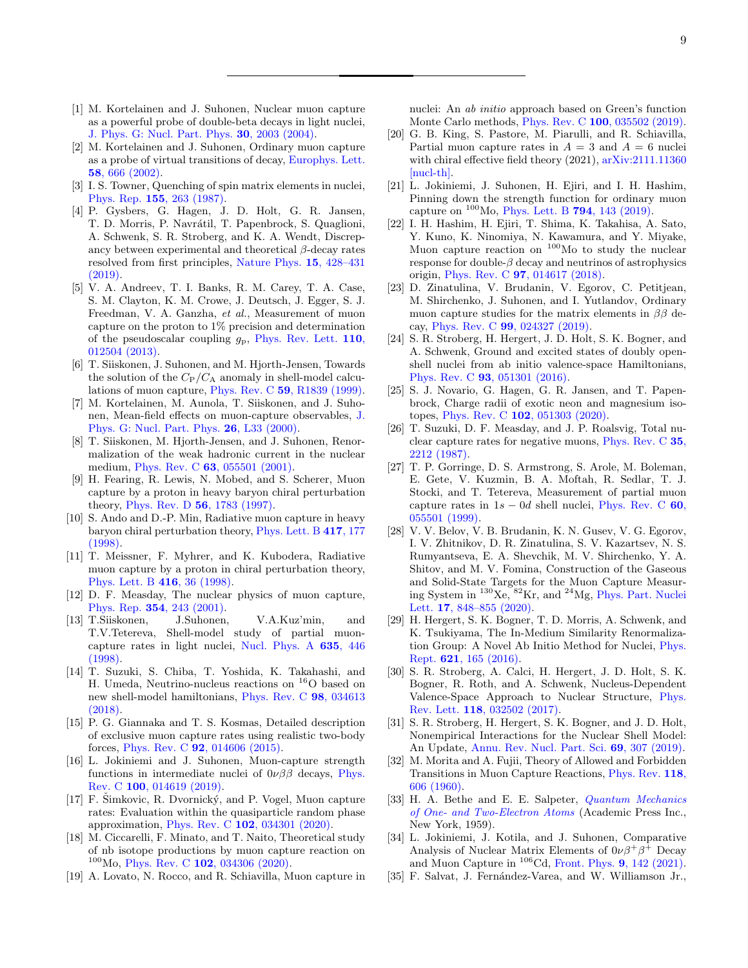- <span id="page-8-0"></span>[1] M. Kortelainen and J. Suhonen, Nuclear muon capture as a powerful probe of double-beta decays in light nuclei, [J. Phys. G: Nucl. Part. Phys.](https://doi.org/10.1088/0954-3899/30/12/017) 30, 2003 (2004).
- <span id="page-8-1"></span>[2] M. Kortelainen and J. Suhonen, Ordinary muon capture as a probe of virtual transitions of decay, [Europhys. Lett.](https://doi.org/10.1209/epl/i2002-00401-5) 58[, 666 \(2002\).](https://doi.org/10.1209/epl/i2002-00401-5)
- <span id="page-8-2"></span>[3] I. S. Towner, Quenching of spin matrix elements in nuclei, Phys. Rep. 155[, 263 \(1987\).](https://doi.org/10.1016/0370-1573(87)90138-4)
- <span id="page-8-3"></span>[4] P. Gysbers, G. Hagen, J. D. Holt, G. R. Jansen, T. D. Morris, P. Navrátil, T. Papenbrock, S. Quaglioni, A. Schwenk, S. R. Stroberg, and K. A. Wendt, Discrepancy between experimental and theoretical  $\beta$ -decay rates resolved from first principles, [Nature Phys.](https://doi.org/10.1038/s41567-019-0450-7) 15, 428–431 [\(2019\).](https://doi.org/10.1038/s41567-019-0450-7)
- <span id="page-8-4"></span>[5] V. A. Andreev, T. I. Banks, R. M. Carey, T. A. Case, S. M. Clayton, K. M. Crowe, J. Deutsch, J. Egger, S. J. Freedman, V. A. Ganzha, et al., Measurement of muon capture on the proton to 1% precision and determination of the pseudoscalar coupling  $g_p$ , [Phys. Rev. Lett.](https://doi.org/10.1103/PhysRevLett.110.012504) 110, [012504 \(2013\).](https://doi.org/10.1103/PhysRevLett.110.012504)
- <span id="page-8-5"></span>[6] T. Siiskonen, J. Suhonen, and M. Hjorth-Jensen, Towards the solution of the  $C_{P}/C_{A}$  anomaly in shell-model calculations of muon capture, Phys. Rev. C 59[, R1839 \(1999\).](https://doi.org/10.1103/PhysRevC.59.R1839)
- [7] M. Kortelainen, M. Aunola, T. Siiskonen, and J. Suhonen, Mean-field effects on muon-capture observables, [J.](https://doi.org/10.1088/0954-3899/26/2/103) [Phys. G: Nucl. Part. Phys.](https://doi.org/10.1088/0954-3899/26/2/103) 26, L33 (2000).
- <span id="page-8-6"></span>[8] T. Siiskonen, M. Hjorth-Jensen, and J. Suhonen, Renormalization of the weak hadronic current in the nuclear medium, Phys. Rev. C 63[, 055501 \(2001\).](https://doi.org/10.1103/PhysRevC.63.055501)
- <span id="page-8-7"></span>[9] H. Fearing, R. Lewis, N. Mobed, and S. Scherer, Muon capture by a proton in heavy baryon chiral perturbation theory, [Phys. Rev. D](https://doi.org/10.1103/PhysRevD.56.1783) 56, 1783 (1997).
- [10] S. Ando and D.-P. Min, Radiative muon capture in heavy baryon chiral perturbation theory, [Phys. Lett. B](https://doi.org/10.1016/S0370-2693(97)01367-1) 417, 177 [\(1998\).](https://doi.org/10.1016/S0370-2693(97)01367-1)
- <span id="page-8-8"></span>[11] T. Meissner, F. Myhrer, and K. Kubodera, Radiative muon capture by a proton in chiral perturbation theory, [Phys. Lett. B](https://doi.org/10.1016/S0370-2693(97)01330-0) 416, 36 (1998).
- <span id="page-8-9"></span>[12] D. F. Measday, The nuclear physics of muon capture, Phys. Rep. 354[, 243 \(2001\).](https://doi.org/10.1016/S0370-1573(01)00012-6)
- <span id="page-8-10"></span>[13] T.Siiskonen, J.Suhonen, V.A.Kuz'min, and T.V.Tetereva, Shell-model study of partial muoncapture rates in light nuclei, [Nucl. Phys. A](https://doi.org/10.1016/S0375-9474(98)00182-1) 635, 446 [\(1998\).](https://doi.org/10.1016/S0375-9474(98)00182-1)
- <span id="page-8-11"></span>[14] T. Suzuki, S. Chiba, T. Yoshida, K. Takahashi, and H. Umeda, Neutrino-nucleus reactions on <sup>16</sup>O based on new shell-model hamiltonians, [Phys. Rev. C](https://doi.org/10.1103/PhysRevC.98.034613) 98, 034613  $(2018)$
- <span id="page-8-12"></span>[15] P. G. Giannaka and T. S. Kosmas, Detailed description of exclusive muon capture rates using realistic two-body forces, Phys. Rev. C 92[, 014606 \(2015\).](https://doi.org/10.1103/PhysRevC.92.014606)
- [16] L. Jokiniemi and J. Suhonen, Muon-capture strength functions in intermediate nuclei of  $0\nu\beta\beta$  decays, [Phys.](https://doi.org/10.1103/PhysRevC.100.014619) Rev. C 100[, 014619 \(2019\).](https://doi.org/10.1103/PhysRevC.100.014619)
- [17] F. Šimkovic, R. Dvornický, and P. Vogel, Muon capture rates: Evaluation within the quasiparticle random phase approximation, Phys. Rev. C 102[, 034301 \(2020\).](https://doi.org/10.1103/PhysRevC.102.034301)
- <span id="page-8-13"></span>[18] M. Ciccarelli, F. Minato, and T. Naito, Theoretical study of nb isotope productions by muon capture reaction on  $100$ Mo, Phys. Rev. C 102[, 034306 \(2020\).](https://doi.org/10.1103/PhysRevC.102.034306)
- <span id="page-8-14"></span>[19] A. Lovato, N. Rocco, and R. Schiavilla, Muon capture in

nuclei: An ab initio approach based on Green's function Monte Carlo methods, Phys. Rev. C 100[, 035502 \(2019\).](https://doi.org/10.1103/PhysRevC.100.035502)

- <span id="page-8-15"></span>[20] G. B. King, S. Pastore, M. Piarulli, and R. Schiavilla, Partial muon capture rates in  $A = 3$  and  $A = 6$  nuclei with chiral effective field theory (2021),  $arXiv:2111.11360$ [\[nucl-th\].](https://arxiv.org/abs/2111.11360)
- <span id="page-8-16"></span>[21] L. Jokiniemi, J. Suhonen, H. Ejiri, and I. H. Hashim, Pinning down the strength function for ordinary muon capture on  $^{100}$ Mo, [Phys. Lett. B](https://doi.org/10.1016/j.physletb.2019.05.037) 794, 143 (2019).
- <span id="page-8-17"></span>[22] I. H. Hashim, H. Ejiri, T. Shima, K. Takahisa, A. Sato, Y. Kuno, K. Ninomiya, N. Kawamura, and Y. Miyake, Muon capture reaction on <sup>100</sup>Mo to study the nuclear response for double- $\beta$  decay and neutrinos of astrophysics origin, Phys. Rev. C 97[, 014617 \(2018\).](https://doi.org/10.1103/PhysRevC.97.014617)
- <span id="page-8-18"></span>[23] D. Zinatulina, V. Brudanin, V. Egorov, C. Petitjean, M. Shirchenko, J. Suhonen, and I. Yutlandov, Ordinary muon capture studies for the matrix elements in  $\beta\beta$  decay, Phys. Rev. C 99[, 024327 \(2019\).](https://doi.org/10.1103/PhysRevC.99.024327)
- <span id="page-8-19"></span>[24] S. R. Stroberg, H. Hergert, J. D. Holt, S. K. Bogner, and A. Schwenk, Ground and excited states of doubly openshell nuclei from ab initio valence-space Hamiltonians, Phys. Rev. C 93[, 051301 \(2016\).](https://doi.org/10.1103/PhysRevC.93.051301)
- <span id="page-8-20"></span>[25] S. J. Novario, G. Hagen, G. R. Jansen, and T. Papenbrock, Charge radii of exotic neon and magnesium isotopes, Phys. Rev. C 102[, 051303 \(2020\).](https://doi.org/10.1103/PhysRevC.102.051303)
- <span id="page-8-21"></span>[26] T. Suzuki, D. F. Measday, and J. P. Roalsvig, Total nuclear capture rates for negative muons, [Phys. Rev. C](https://doi.org/10.1103/PhysRevC.35.2212) 35, [2212 \(1987\).](https://doi.org/10.1103/PhysRevC.35.2212)
- <span id="page-8-22"></span>[27] T. P. Gorringe, D. S. Armstrong, S. Arole, M. Boleman, E. Gete, V. Kuzmin, B. A. Moftah, R. Sedlar, T. J. Stocki, and T. Tetereva, Measurement of partial muon capture rates in  $1s - 0d$  shell nuclei, [Phys. Rev. C](https://doi.org/10.1103/PhysRevC.60.055501) 60, [055501 \(1999\).](https://doi.org/10.1103/PhysRevC.60.055501)
- <span id="page-8-23"></span>[28] V. V. Belov, V. B. Brudanin, K. N. Gusev, V. G. Egorov, I. V. Zhitnikov, D. R. Zinatulina, S. V. Kazartsev, N. S. Rumyantseva, E. A. Shevchik, M. V. Shirchenko, Y. A. Shitov, and M. V. Fomina, Construction of the Gaseous and Solid-State Targets for the Muon Capture Measuring System in <sup>130</sup>Xe, <sup>82</sup>Kr, and <sup>24</sup>Mg, [Phys. Part. Nuclei](https://doi.org/10.1134/S1547477120060047) Lett. 17[, 848–855 \(2020\).](https://doi.org/10.1134/S1547477120060047)
- <span id="page-8-24"></span>[29] H. Hergert, S. K. Bogner, T. D. Morris, A. Schwenk, and K. Tsukiyama, The In-Medium Similarity Renormalization Group: A Novel Ab Initio Method for Nuclei, [Phys.](https://doi.org/10.1016/j.physrep.2015.12.007) Rept. 621[, 165 \(2016\).](https://doi.org/10.1016/j.physrep.2015.12.007)
- <span id="page-8-30"></span>[30] S. R. Stroberg, A. Calci, H. Hergert, J. D. Holt, S. K. Bogner, R. Roth, and A. Schwenk, Nucleus-Dependent Valence-Space Approach to Nuclear Structure, [Phys.](https://doi.org/10.1103/PhysRevLett.118.032502) Rev. Lett. 118[, 032502 \(2017\).](https://doi.org/10.1103/PhysRevLett.118.032502)
- <span id="page-8-25"></span>[31] S. R. Stroberg, H. Hergert, S. K. Bogner, and J. D. Holt, Nonempirical Interactions for the Nuclear Shell Model: An Update, [Annu. Rev. Nucl. Part. Sci.](https://doi.org/10.1146/annurev-nucl-101917-021120) 69, 307 (2019).
- <span id="page-8-26"></span>[32] M. Morita and A. Fujii, Theory of Allowed and Forbidden Transitions in Muon Capture Reactions, [Phys. Rev.](https://doi.org/10.1103/PhysRev.118.606) 118, [606 \(1960\).](https://doi.org/10.1103/PhysRev.118.606)
- <span id="page-8-27"></span>[33] H. A. Bethe and E. E. Salpeter, *[Quantum Mechanics](https://doi.org/10.1007/978-3-662-12869-5)* [of One- and Two-Electron Atoms](https://doi.org/10.1007/978-3-662-12869-5) (Academic Press Inc., New York, 1959).
- <span id="page-8-28"></span>[34] L. Jokiniemi, J. Kotila, and J. Suhonen, Comparative Analysis of Nuclear Matrix Elements of  $0\nu\beta^+\beta^+$  Decay and Muon Capture in  $^{106}$ Cd, [Front. Phys.](https://doi.org/10.3389/fphy.2021.652536) **9**, 142 (2021).
- <span id="page-8-29"></span>[35] F. Salvat, J. Fernández-Varea, and W. Williamson Jr.,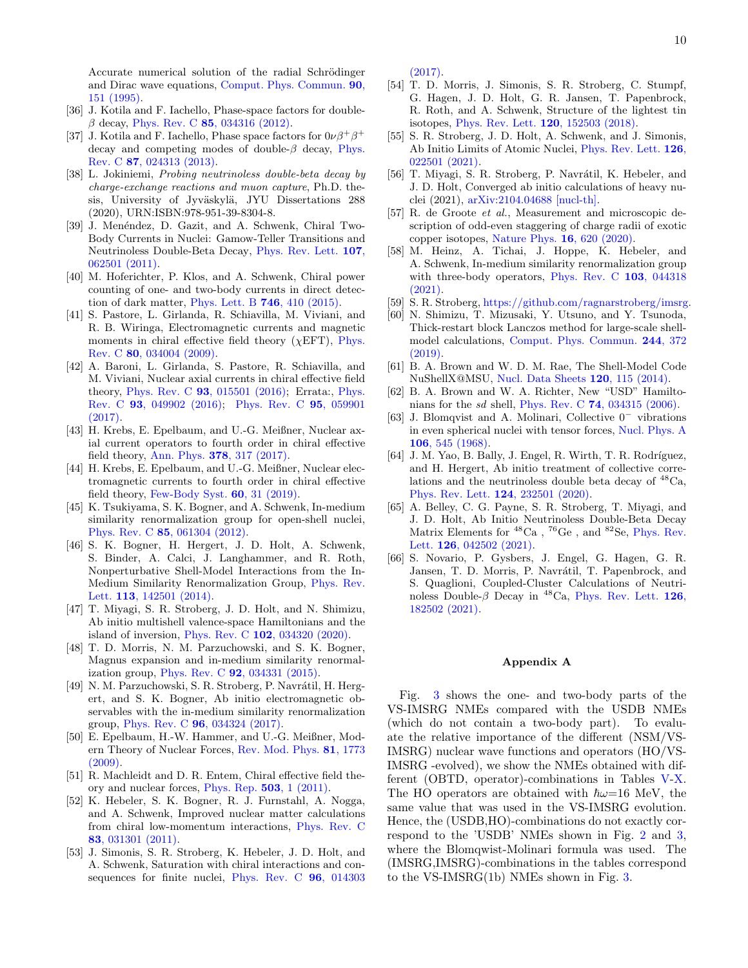10

Accurate numerical solution of the radial Schrödinger and Dirac wave equations, [Comput. Phys. Commun.](https://doi.org/10.1016/0010-4655(95)00039-I) 90, [151 \(1995\).](https://doi.org/10.1016/0010-4655(95)00039-I)

- <span id="page-9-0"></span>[36] J. Kotila and F. Iachello, Phase-space factors for double- $\beta$  decay, Phys. Rev. C 85[, 034316 \(2012\).](https://doi.org/10.1103/PhysRevC.85.034316)
- <span id="page-9-1"></span>[37] J. Kotila and F. Iachello, Phase space factors for  $0\nu\beta^+\beta^+$ decay and competing modes of double- $\beta$  decay, [Phys.](https://doi.org/10.1103/PhysRevC.87.024313) Rev. C 87[, 024313 \(2013\).](https://doi.org/10.1103/PhysRevC.87.024313)
- <span id="page-9-2"></span>[38] L. Jokiniemi, Probing neutrinoless double-beta decay by charge-exchange reactions and muon capture, Ph.D. thesis, University of Jyväskylä, JYU Dissertations 288 (2020), URN:ISBN:978-951-39-8304-8.
- <span id="page-9-3"></span>[39] J. Menéndez, D. Gazit, and A. Schwenk, Chiral Two-Body Currents in Nuclei: Gamow-Teller Transitions and Neutrinoless Double-Beta Decay, [Phys. Rev. Lett.](https://doi.org/10.1103/PhysRevLett.107.062501) 107, [062501 \(2011\).](https://doi.org/10.1103/PhysRevLett.107.062501)
- <span id="page-9-4"></span>[40] M. Hoferichter, P. Klos, and A. Schwenk, Chiral power counting of one- and two-body currents in direct detection of dark matter, [Phys. Lett. B](https://doi.org/10.1016/j.physletb.2015.05.041) 746, 410 (2015).
- <span id="page-9-5"></span>[41] S. Pastore, L. Girlanda, R. Schiavilla, M. Viviani, and R. B. Wiringa, Electromagnetic currents and magnetic moments in chiral effective field theory ( $\chi$ EFT), [Phys.](https://doi.org/10.1103/PhysRevC.80.034004) Rev. C 80[, 034004 \(2009\).](https://doi.org/10.1103/PhysRevC.80.034004)
- [42] A. Baroni, L. Girlanda, S. Pastore, R. Schiavilla, and M. Viviani, Nuclear axial currents in chiral effective field theory, Phys. Rev. C 93[, 015501 \(2016\);](https://doi.org/10.1103/PhysRevC.93.015501) Errata:, [Phys.](https://doi.org/10.1103/PhysRevC.93.049902) Rev. C 93[, 049902 \(2016\);](https://doi.org/10.1103/PhysRevC.93.049902) [Phys. Rev. C](https://doi.org/10.1103/PhysRevC.95.059901) 95, 059901 [\(2017\).](https://doi.org/10.1103/PhysRevC.95.059901)
- [43] H. Krebs, E. Epelbaum, and U.-G. Meißner, Nuclear axial current operators to fourth order in chiral effective field theory, Ann. Phys. 378[, 317 \(2017\).](https://doi.org/10.1016/j.aop.2017.01.021)
- <span id="page-9-6"></span>[44] H. Krebs, E. Epelbaum, and U.-G. Meißner, Nuclear electromagnetic currents to fourth order in chiral effective field theory, [Few-Body Syst.](https://doi.org/10.1007/s00601-019-1500-5)  $60$ , 31 (2019).
- <span id="page-9-7"></span>[45] K. Tsukiyama, S. K. Bogner, and A. Schwenk, In-medium similarity renormalization group for open-shell nuclei, Phys. Rev. C 85[, 061304 \(2012\).](https://doi.org/10.1103/PhysRevC.85.061304)
- [46] S. K. Bogner, H. Hergert, J. D. Holt, A. Schwenk, S. Binder, A. Calci, J. Langhammer, and R. Roth, Nonperturbative Shell-Model Interactions from the In-Medium Similarity Renormalization Group, [Phys. Rev.](https://doi.org/10.1103/PhysRevLett.113.142501) Lett. 113[, 142501 \(2014\).](https://doi.org/10.1103/PhysRevLett.113.142501)
- <span id="page-9-8"></span>[47] T. Miyagi, S. R. Stroberg, J. D. Holt, and N. Shimizu, Ab initio multishell valence-space Hamiltonians and the island of inversion, Phys. Rev. C 102[, 034320 \(2020\).](https://doi.org/10.1103/PhysRevC.102.034320)
- <span id="page-9-9"></span>[48] T. D. Morris, N. M. Parzuchowski, and S. K. Bogner, Magnus expansion and in-medium similarity renormalization group, Phys. Rev. C 92[, 034331 \(2015\).](https://doi.org/10.1103/PhysRevC.92.034331)
- <span id="page-9-10"></span>[49] N. M. Parzuchowski, S. R. Stroberg, P. Navrátil, H. Hergert, and S. K. Bogner, Ab initio electromagnetic observables with the in-medium similarity renormalization group, Phys. Rev. C 96[, 034324 \(2017\).](https://doi.org/10.1103/PhysRevC.96.034324)
- <span id="page-9-11"></span>[50] E. Epelbaum, H.-W. Hammer, and U.-G. Meißner, Modern Theory of Nuclear Forces, [Rev. Mod. Phys.](https://doi.org/https://doi.org/10.1103/RevModPhys.81.1773) 81, 1773  $(2009).$
- <span id="page-9-12"></span>[51] R. Machleidt and D. R. Entem, Chiral effective field theory and nuclear forces, [Phys. Rep.](https://doi.org/10.1016/j.physrep.2011.02.001) 503, 1 (2011).
- <span id="page-9-13"></span>[52] K. Hebeler, S. K. Bogner, R. J. Furnstahl, A. Nogga, and A. Schwenk, Improved nuclear matter calculations from chiral low-momentum interactions, [Phys. Rev. C](https://doi.org/10.1103/PhysRevC.83.031301) 83[, 031301 \(2011\).](https://doi.org/10.1103/PhysRevC.83.031301)
- <span id="page-9-14"></span>[53] J. Simonis, S. R. Stroberg, K. Hebeler, J. D. Holt, and A. Schwenk, Saturation with chiral interactions and consequences for finite nuclei, [Phys. Rev. C](https://doi.org/10.1103/PhysRevC.96.014303) 96, 014303

[\(2017\).](https://doi.org/10.1103/PhysRevC.96.014303)

- <span id="page-9-15"></span>[54] T. D. Morris, J. Simonis, S. R. Stroberg, C. Stumpf, G. Hagen, J. D. Holt, G. R. Jansen, T. Papenbrock, R. Roth, and A. Schwenk, Structure of the lightest tin isotopes, [Phys. Rev. Lett.](https://doi.org/10.1103/PhysRevLett.120.152503) 120, 152503 (2018).
- [55] S. R. Stroberg, J. D. Holt, A. Schwenk, and J. Simonis, Ab Initio Limits of Atomic Nuclei, [Phys. Rev. Lett.](https://doi.org/10.1103/PhysRevLett.126.022501) 126, [022501 \(2021\).](https://doi.org/10.1103/PhysRevLett.126.022501)
- <span id="page-9-16"></span>[56] T. Miyagi, S. R. Stroberg, P. Navrátil, K. Hebeler, and J. D. Holt, Converged ab initio calculations of heavy nuclei (2021), [arXiv:2104.04688 \[nucl-th\].](https://arxiv.org/abs/2104.04688)
- <span id="page-9-17"></span>[57] R. de Groote et al., Measurement and microscopic description of odd-even staggering of charge radii of exotic copper isotopes, [Nature Phys.](https://doi.org/10.1038/s41567-020-0868-y) 16, 620 (2020).
- <span id="page-9-18"></span>[58] M. Heinz, A. Tichai, J. Hoppe, K. Hebeler, and A. Schwenk, In-medium similarity renormalization group with three-body operators, [Phys. Rev. C](https://doi.org/10.1103/PhysRevC.103.044318) 103, 044318 [\(2021\).](https://doi.org/10.1103/PhysRevC.103.044318)
- <span id="page-9-19"></span>[59] S. R. Stroberg, [https://github.com/ragnarstroberg/imsrg.](https://github.com/ragnarstroberg/imsrg)
- <span id="page-9-20"></span>[60] N. Shimizu, T. Mizusaki, Y. Utsuno, and Y. Tsunoda, Thick-restart block Lanczos method for large-scale shellmodel calculations, [Comput. Phys. Commun.](https://doi.org/10.1016/j.cpc.2019.06.011) 244, 372 [\(2019\).](https://doi.org/10.1016/j.cpc.2019.06.011)
- <span id="page-9-21"></span>[61] B. A. Brown and W. D. M. Rae, The Shell-Model Code NuShellX@MSU, [Nucl. Data Sheets](https://doi.org/10.1016/j.nds.2014.07.022) 120, 115 (2014).
- <span id="page-9-22"></span>[62] B. A. Brown and W. A. Richter, New "USD" Hamiltonians for the sd shell, Phys. Rev. C 74[, 034315 \(2006\).](https://doi.org/10.1103/PhysRevC.74.034315)
- <span id="page-9-23"></span>[63] J. Blomqvist and A. Molinari, Collective 0<sup>−</sup> vibrations in even spherical nuclei with tensor forces, [Nucl. Phys. A](https://doi.org/10.1016/0375-9474(68)90515-0) 106[, 545 \(1968\).](https://doi.org/10.1016/0375-9474(68)90515-0)
- <span id="page-9-24"></span>[64] J. M. Yao, B. Bally, J. Engel, R. Wirth, T. R. Rodríguez, and H. Hergert, Ab initio treatment of collective correlations and the neutrinoless double beta decay of  ${}^{48}Ca$ . [Phys. Rev. Lett.](https://doi.org/10.1103/PhysRevLett.124.232501) 124, 232501 (2020).
- [65] A. Belley, C. G. Payne, S. R. Stroberg, T. Miyagi, and J. D. Holt, Ab Initio Neutrinoless Double-Beta Decay Matrix Elements for  ${}^{48}Ca$ ,  ${}^{76}Ge$ , and  ${}^{82}Se$ , [Phys. Rev.](https://doi.org/10.1103/PhysRevLett.126.042502) Lett. 126[, 042502 \(2021\).](https://doi.org/10.1103/PhysRevLett.126.042502)
- <span id="page-9-25"></span>[66] S. Novario, P. Gysbers, J. Engel, G. Hagen, G. R. Jansen, T. D. Morris, P. Navrátil, T. Papenbrock, and S. Quaglioni, Coupled-Cluster Calculations of Neutrinoless Double- $\beta$  Decay in <sup>48</sup>Ca, [Phys. Rev. Lett.](https://doi.org/10.1103/PhysRevLett.126.182502) **126**, [182502 \(2021\).](https://doi.org/10.1103/PhysRevLett.126.182502)

#### Appendix A

Fig. [3](#page-10-0) shows the one- and two-body parts of the VS-IMSRG NMEs compared with the USDB NMEs (which do not contain a two-body part). To evaluate the relative importance of the different (NSM/VS-IMSRG) nuclear wave functions and operators (HO/VS-IMSRG -evolved), we show the NMEs obtained with different (OBTD, operator)-combinations in Tables [V-](#page-10-1)[X.](#page-11-0) The HO operators are obtained with  $\hbar\omega=16$  MeV, the same value that was used in the VS-IMSRG evolution. Hence, the (USDB,HO)-combinations do not exactly correspond to the 'USDB' NMEs shown in Fig. [2](#page-5-0) and [3,](#page-10-0) where the Blomqwist-Molinari formula was used. The (IMSRG,IMSRG)-combinations in the tables correspond to the VS-IMSRG(1b) NMEs shown in Fig. [3.](#page-10-0)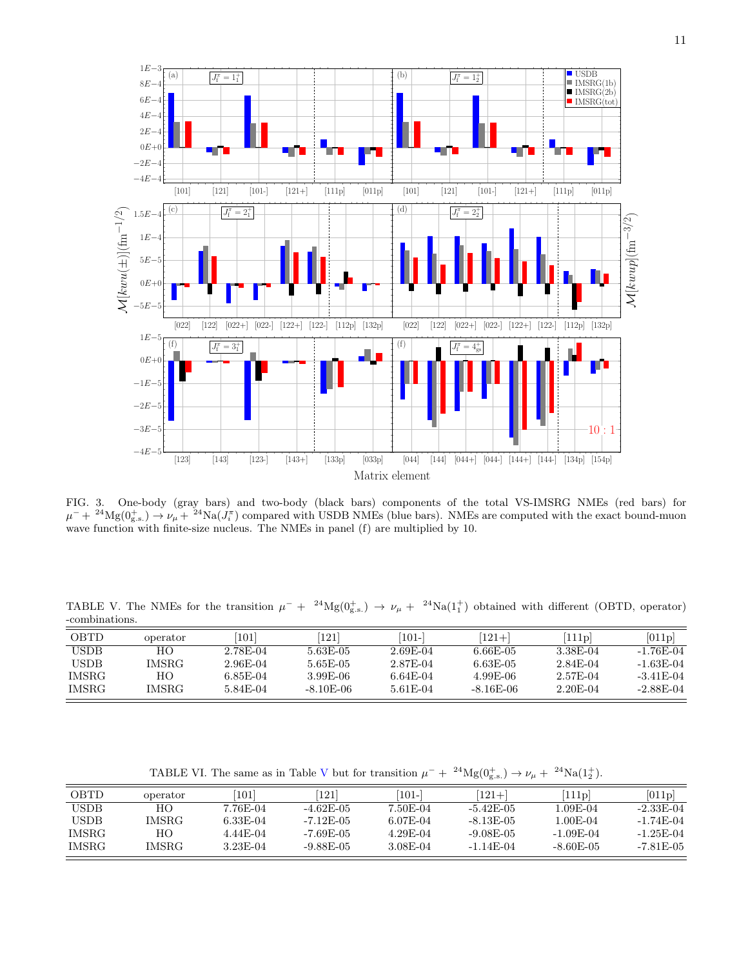

<span id="page-10-0"></span>FIG. 3. One-body (gray bars) and two-body (black bars) components of the total VS-IMSRG NMEs (red bars) for  $\mu^- + 24 \text{Mg}(0^+_{\text{g.s.}}) \rightarrow \nu_\mu + 24 \text{Na}(J_i^{\pi})$  compared with USDB NMEs (blue bars). NMEs are computed with the exact bound-muon wave function with finite-size nucleus. The NMEs in panel (f) are multiplied by 10.

<span id="page-10-1"></span>TABLE V. The NMEs for the transition  $\mu^- + 24Mg(0_{g.s.}^+) \to \nu_\mu + 24Na(1_1^+)$  obtained with different (OBTD, operator) -combinations.

| OBTD        | operator     | 1011     | 121         | $101 -$    | $(121 + )$  | 111p       | [011p]      |
|-------------|--------------|----------|-------------|------------|-------------|------------|-------------|
| <b>USDB</b> | HО           | 2.78E-04 | 5.63E-05    | 2.69E-04   | $6.66E-05$  | 3.38E-04   | $-1.76E-04$ |
| <b>USDB</b> | <b>IMSRG</b> | 2.96E-04 | 5.65E-05    | 2.87E-04   | $6.63E-0.5$ | 2.84E-04   | $-1.63E-04$ |
| IMSRG       | HО           | 6.85E-04 | 3.99E-06    | $6.64E-04$ | 4.99E-06    | 2.57E-04   | $-3.41E-04$ |
| IMSRG       | <b>IMSRG</b> | 5.84E-04 | $-8.10E-06$ | 5.61E-04   | $-8.16E-06$ | $2.20E-04$ | $-2.88E-04$ |

TABLE [V](#page-10-1)I. The same as in Table V but for transition  $\mu^- + 2^4 \text{Mg}(0^+_{\text{g.s.}}) \rightarrow \nu_\mu + 2^4 \text{Na}(1^+_2)$ .

| OBTD         | operator     | 101        | 121           | $ 101-$  | $121 +$      | 111p        | [011p]      |
|--------------|--------------|------------|---------------|----------|--------------|-------------|-------------|
| <b>USDB</b>  | HO.          | 7.76E-04   | $-4.62F-05$   | 7.50E-04 | $-5.42E-05$  | 1.09E-04    | $-2.33E-04$ |
| <b>USDB</b>  | <b>IMSRG</b> | $6.33E-04$ | $-7.12F - 05$ | 6.07E-04 | $-8.13E-0.5$ | 1.00E-04    | $-1.74E-04$ |
| IMSRG        | HO.          | 4.44E-04   | $-7.69E-05$   | 4.29E-04 | $-9.08E-05$  | $-1.09E-04$ | $-1.25E-04$ |
| <b>IMSRG</b> | <b>IMSRG</b> | 3.23E-04   | $-9.88E-05$   | 3.08E-04 | $-1.14F-04$  | $-8.60E-05$ | $-7.81E-05$ |
|              |              |            |               |          |              |             |             |